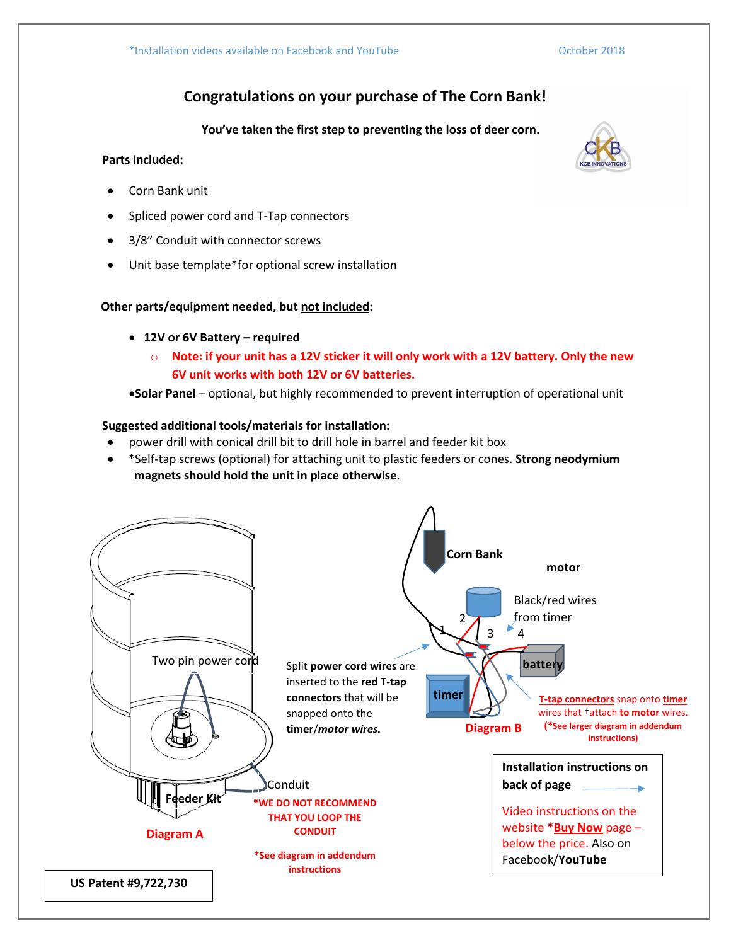# **Congratulations on your purchase of The Corn Bank!**

**You've taken the first step to preventing the loss of deer corn.**

# **Parts included:**

- Corn Bank unit
- Spliced power cord and T-Tap connectors
- 3/8" Conduit with connector screws
- Unit base template\*for optional screw installation

## **Other parts/equipment needed, but not included:**

- **12V or 6V Battery – required**
	- o **Note: if your unit has a 12V sticker it will only work with a 12V battery. Only the new 6V unit works with both 12V or 6V batteries.**

•**Solar Panel** – optional, but highly recommended to prevent interruption of operational unit

# **Suggested additional tools/materials for installation:**

- power drill with conical drill bit to drill hole in barrel and feeder kit box
- \*Self-tap screws (optional) for attaching unit to plastic feeders or cones. **Strong neodymium magnets should hold the unit in place otherwise**.